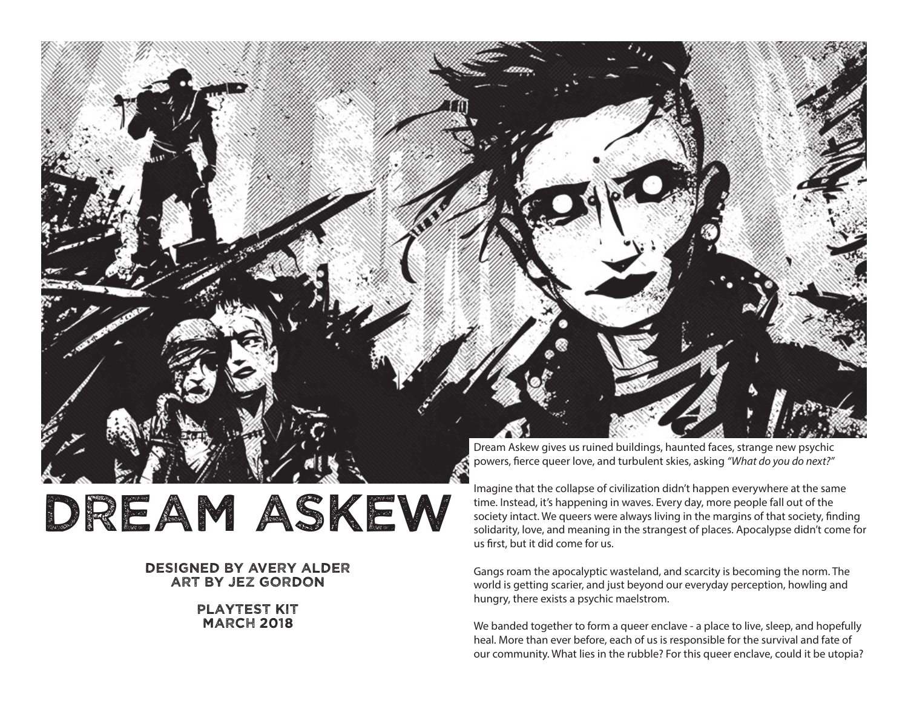

### designed by avery alder art by jez gordon

#### playtest kit **MARCH 2018**

Imagine that the collapse of civilization didn't happen everywhere at the same time. Instead, it's happening in waves. Every day, more people fall out of the society intact. We queers were always living in the margins of that society, finding solidarity, love, and meaning in the strangest of places. Apocalypse didn't come for us first, but it did come for us.

Gangs roam the apocalyptic wasteland, and scarcity is becoming the norm. The world is getting scarier, and just beyond our everyday perception, howling and hungry, there exists a psychic maelstrom.

We banded together to form a queer enclave - a place to live, sleep, and hopefully heal. More than ever before, each of us is responsible for the survival and fate of our community. What lies in the rubble? For this queer enclave, could it be utopia?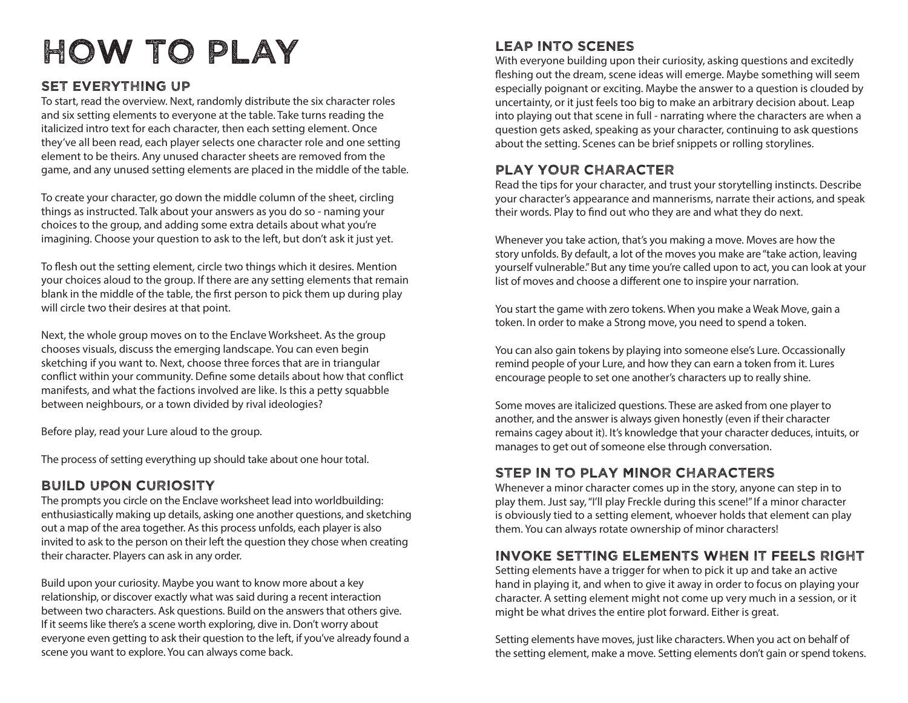# How to play

### Set everything up

To start, read the overview. Next, randomly distribute the six character roles and six setting elements to everyone at the table. Take turns reading the italicized intro text for each character, then each setting element. Once they've all been read, each player selects one character role and one setting element to be theirs. Any unused character sheets are removed from the game, and any unused setting elements are placed in the middle of the table.

To create your character, go down the middle column of the sheet, circling things as instructed. Talk about your answers as you do so - naming your choices to the group, and adding some extra details about what you're imagining. Choose your question to ask to the left, but don't ask it just yet.

To flesh out the setting element, circle two things which it desires. Mention your choices aloud to the group. If there are any setting elements that remain blank in the middle of the table, the first person to pick them up during play will circle two their desires at that point.

Next, the whole group moves on to the Enclave Worksheet. As the group chooses visuals, discuss the emerging landscape. You can even begin sketching if you want to. Next, choose three forces that are in triangular conflict within your community. Define some details about how that conflict manifests, and what the factions involved are like. Is this a petty squabble between neighbours, or a town divided by rival ideologies?

Before play, read your Lure aloud to the group.

The process of setting everything up should take about one hour total.

### Build upon curiosity

The prompts you circle on the Enclave worksheet lead into worldbuilding: enthusiastically making up details, asking one another questions, and sketching out a map of the area together. As this process unfolds, each player is also invited to ask to the person on their left the question they chose when creating their character. Players can ask in any order.

Build upon your curiosity. Maybe you want to know more about a key relationship, or discover exactly what was said during a recent interaction between two characters. Ask questions. Build on the answers that others give. If it seems like there's a scene worth exploring, dive in. Don't worry about everyone even getting to ask their question to the left, if you've already found a scene you want to explore. You can always come back.

### Leap into scenes

With everyone building upon their curiosity, asking questions and excitedly fleshing out the dream, scene ideas will emerge. Maybe something will seem especially poignant or exciting. Maybe the answer to a question is clouded by uncertainty, or it just feels too big to make an arbitrary decision about. Leap into playing out that scene in full - narrating where the characters are when a question gets asked, speaking as your character, continuing to ask questions about the setting. Scenes can be brief snippets or rolling storylines.

### Play your character

Read the tips for your character, and trust your storytelling instincts. Describe your character's appearance and mannerisms, narrate their actions, and speak their words. Play to find out who they are and what they do next.

Whenever you take action, that's you making a move. Moves are how the story unfolds. By default, a lot of the moves you make are "take action, leaving yourself vulnerable." But any time you're called upon to act, you can look at your list of moves and choose a different one to inspire your narration.

You start the game with zero tokens. When you make a Weak Move, gain a token. In order to make a Strong move, you need to spend a token.

You can also gain tokens by playing into someone else's Lure. Occassionally remind people of your Lure, and how they can earn a token from it. Lures encourage people to set one another's characters up to really shine.

Some moves are italicized questions. These are asked from one player to another, and the answer is always given honestly (even if their character remains cagey about it). It's knowledge that your character deduces, intuits, or manages to get out of someone else through conversation.

### Step in to play minor characters

Whenever a minor character comes up in the story, anyone can step in to play them. Just say, "I'll play Freckle during this scene!" If a minor character is obviously tied to a setting element, whoever holds that element can play them. You can always rotate ownership of minor characters!

### invoke setting elements when it feels right

Setting elements have a trigger for when to pick it up and take an active hand in playing it, and when to give it away in order to focus on playing your character. A setting element might not come up very much in a session, or it might be what drives the entire plot forward. Either is great.

Setting elements have moves, just like characters. When you act on behalf of the setting element, make a move. Setting elements don't gain or spend tokens.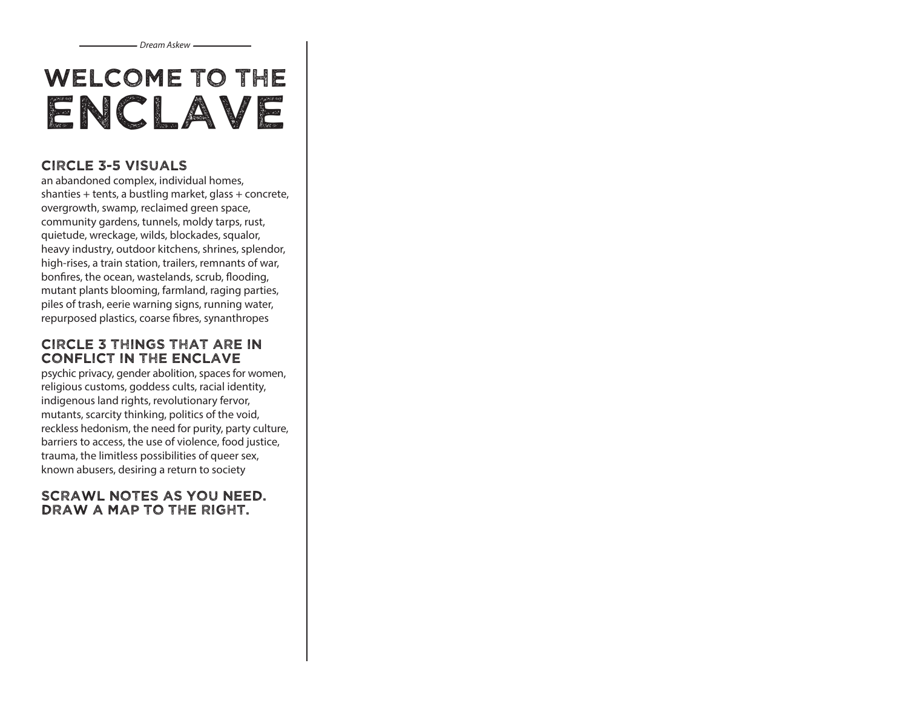# Welcome to The Enclave

### Circle 3-5 visuals

an abandoned complex, individual homes, shanties + tents, a bustling market, glass + concrete, overgrowth, swamp, reclaimed green space, community gardens, tunnels, moldy tarps, rust, quietude, wreckage, wilds, blockades, squalor, heavy industry, outdoor kitchens, shrines, splendor, high-rises, a train station, trailers, remnants of war, bonfires, the ocean, wastelands, scrub, flooding, mutant plants blooming, farmland, raging parties, piles of trash, eerie warning signs, running water, repurposed plastics, coarse fibres, synanthropes

### circle 3 things that are in conflict in the enclave

psychic privacy, gender abolition, spaces for women, religious customs, goddess cults, racial identity, indigenous land rights, revolutionary fervor, mutants, scarcity thinking, politics of the void, reckless hedonism, the need for purity, party culture, barriers to access, the use of violence, food justice, trauma, the limitless possibilities of queer sex, known abusers, desiring a return to society

### Scrawl notes as you need. Draw a map to the right.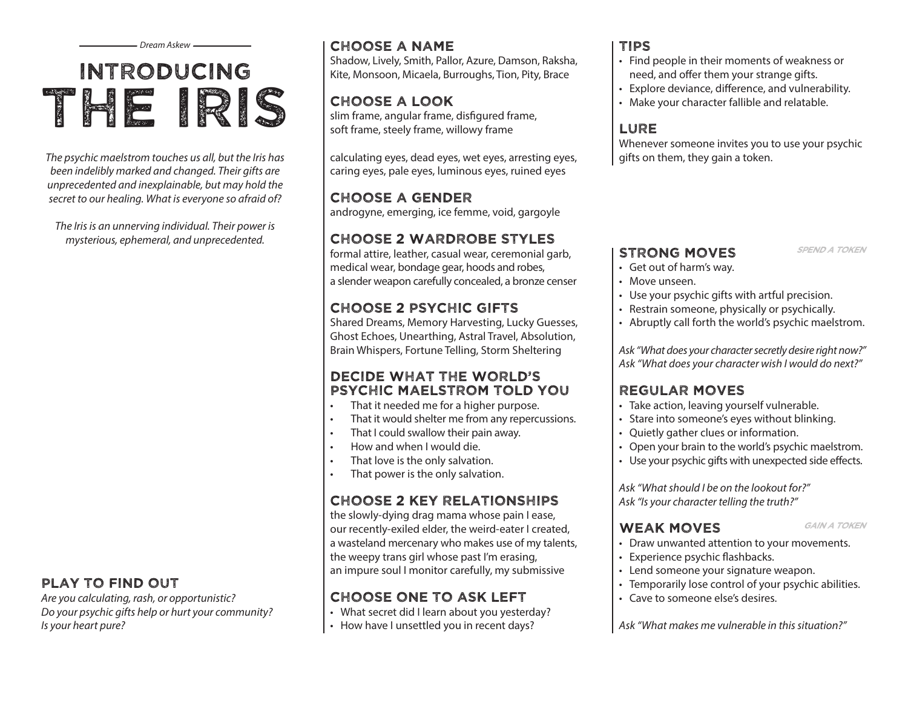# Introducing THE IRIS

*The psychic maelstrom touches us all, but the Iris has been indelibly marked and changed. Their gifts are unprecedented and inexplainable, but may hold the secret to our healing. What is everyone so afraid of?*

*The Iris is an unnerving individual. Their power is mysterious, ephemeral, and unprecedented.*

### play to find out

*Are you calculating, rash, or opportunistic? Do your psychic gifts help or hurt your community? Is your heart pure?*

### *Dream Askew* Tips Choose a Name

Shadow, Lively, Smith, Pallor, Azure, Damson, Raksha, Kite, Monsoon, Micaela, Burroughs, Tion, Pity, Brace

# Choose A Look

slim frame, angular frame, disfigured frame, soft frame, steely frame, willowy frame

calculating eyes, dead eyes, wet eyes, arresting eyes, caring eyes, pale eyes, luminous eyes, ruined eyes

### Choose a gender

androgyne, emerging, ice femme, void, gargoyle

# Choose 2 Wardrobe Styles

formal attire, leather, casual wear, ceremonial garb, medical wear, bondage gear, hoods and robes, a slender weapon carefully concealed, a bronze censer

# Choose 2 Psychic Gifts

Shared Dreams, Memory Harvesting, Lucky Guesses, Ghost Echoes, Unearthing, Astral Travel, Absolution, Brain Whispers, Fortune Telling, Storm Sheltering

### Decide What The World's Psychic Maelstrom Told You

- That it needed me for a higher purpose.
- • That it would shelter me from any repercussions.
- That I could swallow their pain away.
- • How and when I would die.
- That love is the only salvation.
- • That power is the only salvation.

# Choose 2 key relationships

the slowly-dying drag mama whose pain I ease, our recently-exiled elder, the weird-eater I created, a wasteland mercenary who makes use of my talents, the weepy trans girl whose past I'm erasing, an impure soul I monitor carefully, my submissive

# Choose one to ask left

- What secret did I learn about you yesterday?
- How have I unsettled you in recent days?

- • Find people in their moments of weakness or need, and offer them your strange gifts.
- • Explore deviance, difference, and vulnerability.
- Make your character fallible and relatable.

# **LURE**

Whenever someone invites you to use your psychic gifts on them, they gain a token.

### STRONG MOVES SPEND A TOKEN

- • Get out of harm's way.
- Move unseen.
- Use your psychic gifts with artful precision.
- Restrain someone, physically or psychically.
- Abruptly call forth the world's psychic maelstrom.

*Ask "What does your character secretly desire right now?" Ask "What does your character wish I would do next?"*

# Regular Moves

- Take action, leaving yourself vulnerable.
- Stare into someone's eyes without blinking.
- • Quietly gather clues or information.
- Open your brain to the world's psychic maelstrom.
- Use your psychic gifts with unexpected side effects.

*Ask "What should I be on the lookout for?" Ask "Is your character telling the truth?"*

### WEAK MOVES GAIN A TOKEN

- 
- Draw unwanted attention to your movements.
- Experience psychic flashbacks.
- • Lend someone your signature weapon.
- Temporarily lose control of your psychic abilities.
- • Cave to someone else's desires.

*Ask "What makes me vulnerable in this situation?"*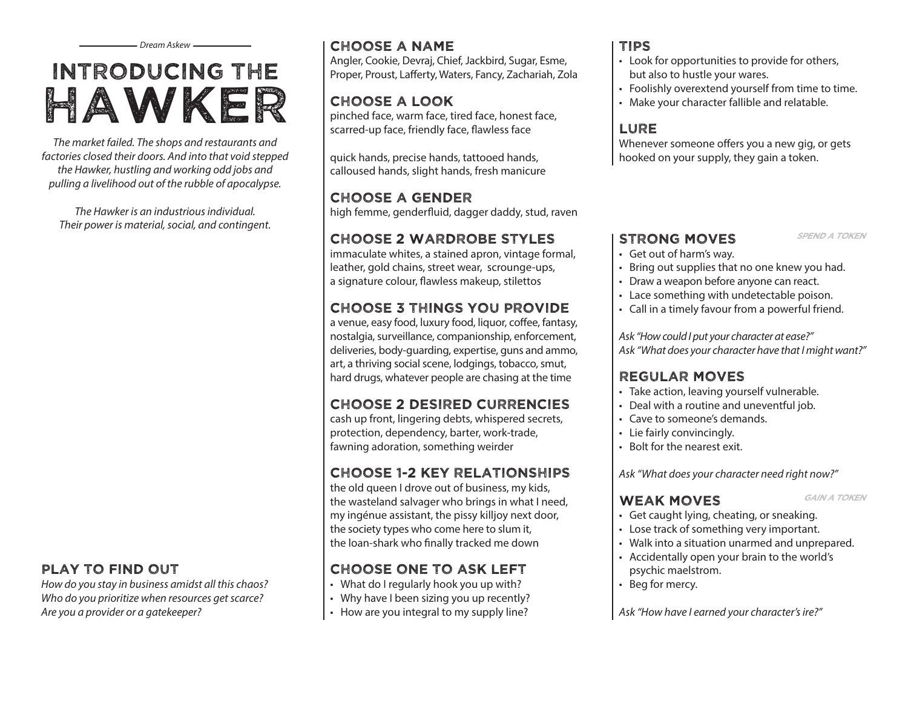# Introducing the Hawker

*The market failed. The shops and restaurants and factories closed their doors. And into that void stepped the Hawker, hustling and working odd jobs and pulling a livelihood out of the rubble of apocalypse.*

*The Hawker is an industrious individual. Their power is material, social, and contingent.*

### play to find out

*How do you stay in business amidst all this chaos? Who do you prioritize when resources get scarce? Are you a provider or a gatekeeper?*

### Choose a Name

Angler, Cookie, Devraj, Chief, Jackbird, Sugar, Esme, Proper, Proust, Lafferty, Waters, Fancy, Zachariah, Zola

### Choose A Look

pinched face, warm face, tired face, honest face, scarred-up face, friendly face, flawless face

quick hands, precise hands, tattooed hands, calloused hands, slight hands, fresh manicure

### Choose a gender

high femme, genderfluid, dagger daddy, stud, raven

### Choose 2 Wardrobe Styles

immaculate whites, a stained apron, vintage formal, leather, gold chains, street wear, scrounge-ups, a signature colour, flawless makeup, stilettos

### Choose 3 things you provide

a venue, easy food, luxury food, liquor, coffee, fantasy, nostalgia, surveillance, companionship, enforcement, deliveries, body-guarding, expertise, guns and ammo, art, a thriving social scene, lodgings, tobacco, smut, hard drugs, whatever people are chasing at the time

### Choose 2 desired currencies

cash up front, lingering debts, whispered secrets, protection, dependency, barter, work-trade, fawning adoration, something weirder

### Choose 1-2 key relationships

the old queen I drove out of business, my kids, the wasteland salvager who brings in what I need, my ingénue assistant, the pissy killjoy next door, the society types who come here to slum it, the loan-shark who finally tracked me down

# Choose one to ask left

- What do I regularly hook you up with?
- Why have I been sizing you up recently?
- How are you integral to my supply line?

### Tips

- Look for opportunities to provide for others, but also to hustle your wares.
- Foolishly overextend yourself from time to time.
- • Make your character fallible and relatable.

### **LURE**

Whenever someone offers you a new gig, or gets hooked on your supply, they gain a token.

### STRONG MOVES SPEND A TOKEN

- • Get out of harm's way.
- Bring out supplies that no one knew you had.
- Draw a weapon before anyone can react.
- Lace something with undetectable poison.
- Call in a timely favour from a powerful friend.

*Ask "How could I put your character at ease?" Ask "What does your character have that I might want?"*

### Regular Moves

- Take action, leaving yourself vulnerable.
- Deal with a routine and uneventful job.
- Cave to someone's demands
- • Lie fairly convincingly.
- • Bolt for the nearest exit.

*Ask "What does your character need right now?"*

### WEAK MOVES GAIN A TOKEN

- • Get caught lying, cheating, or sneaking.
- Lose track of something very important.
- • Walk into a situation unarmed and unprepared.
- • Accidentally open your brain to the world's psychic maelstrom.
- • Beg for mercy.

*Ask "How have I earned your character's ire?"*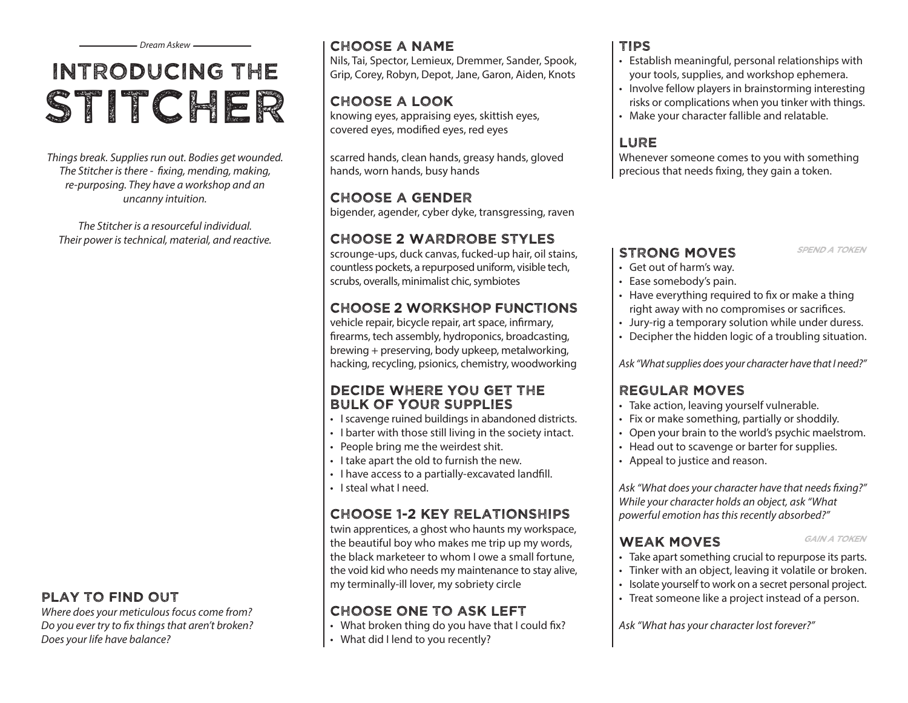# Introducing the STITCHER

*Things break. Supplies run out. Bodies get wounded. The Stitcher is there - fixing, mending, making, re-purposing. They have a workshop and an uncanny intuition.* 

*The Stitcher is a resourceful individual. Their power is technical, material, and reactive.* 

### play to find out

*Where does your meticulous focus come from? Do you ever try to fix things that aren't broken? Does your life have balance?*

### Choose a Name

Nils, Tai, Spector, Lemieux, Dremmer, Sander, Spook, Grip, Corey, Robyn, Depot, Jane, Garon, Aiden, Knots

# Choose A Look

knowing eyes, appraising eyes, skittish eyes, covered eyes, modified eyes, red eyes

scarred hands, clean hands, greasy hands, gloved hands, worn hands, busy hands

# Choose a gender

bigender, agender, cyber dyke, transgressing, raven

# Choose 2 Wardrobe Styles

scrounge-ups, duck canvas, fucked-up hair, oil stains, countless pockets, a repurposed uniform, visible tech, scrubs, overalls, minimalist chic, symbiotes

# Choose 2 workshop functions

vehicle repair, bicycle repair, art space, infirmary, firearms, tech assembly, hydroponics, broadcasting, brewing + preserving, body upkeep, metalworking, hacking, recycling, psionics, chemistry, woodworking

### Decide Where You Get the bulk of your Supplies

- I scavenge ruined buildings in abandoned districts.
- I barter with those still living in the society intact.
- People bring me the weirdest shit.
- I take apart the old to furnish the new.
- I have access to a partially-excavated landfill.
- • I steal what I need.

# Choose 1-2 key relationships

twin apprentices, a ghost who haunts my workspace, the beautiful boy who makes me trip up my words, the black marketeer to whom I owe a small fortune, the void kid who needs my maintenance to stay alive, my terminally-ill lover, my sobriety circle

# Choose one to ask left

- What broken thing do you have that I could fix?
- What did I lend to you recently?

# Tips

- • Establish meaningful, personal relationships with your tools, supplies, and workshop ephemera.
- Involve fellow players in brainstorming interesting risks or complications when you tinker with things.
- Make your character fallible and relatable.

# **LURE**

Whenever someone comes to you with something precious that needs fixing, they gain a token.

### STRONG MOVES SPEND A TOKEN

- • Get out of harm's way.
- • Ease somebody's pain.
- Have everything required to fix or make a thing right away with no compromises or sacrifices.
- Jury-rig a temporary solution while under duress.
- Decipher the hidden logic of a troubling situation.

*Ask "What supplies does your character have that I need?"*

# Regular Moves

- Take action, leaving yourself vulnerable.
- Fix or make something, partially or shoddily.
- Open your brain to the world's psychic maelstrom.
- Head out to scavenge or barter for supplies.
- • Appeal to justice and reason.

*Ask "What does your character have that needs fixing?" While your character holds an object, ask "What powerful emotion has this recently absorbed?"* 

### WEAK MOVES GAIN A TOKEN

- Take apart something crucial to repurpose its parts.
- • Tinker with an object, leaving it volatile or broken.
- Isolate yourself to work on a secret personal project.
- Treat someone like a project instead of a person.

*Ask "What has your character lost forever?"*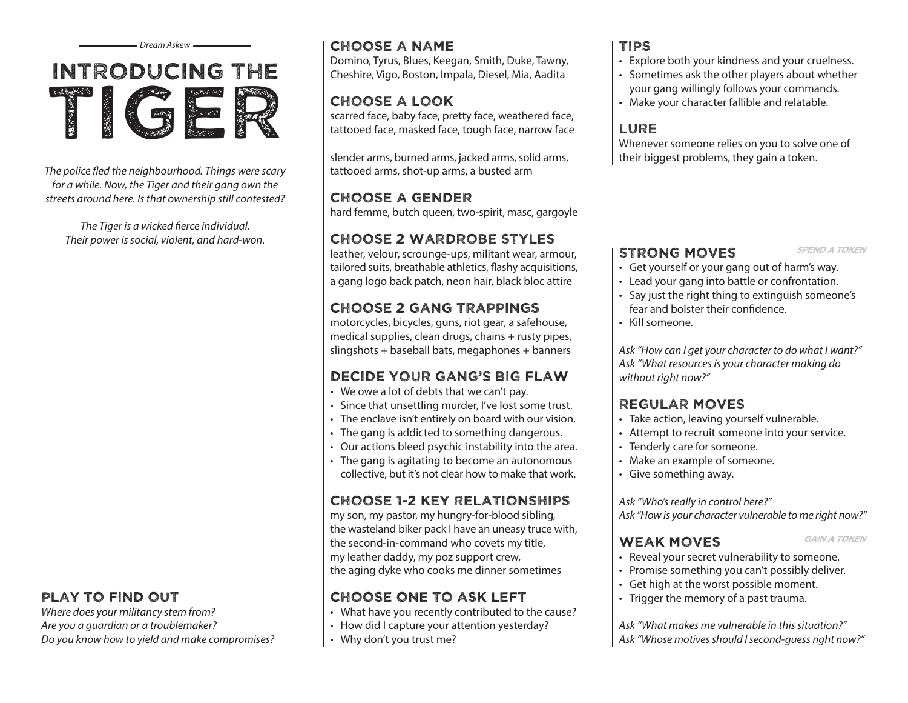



*The police fled the neighbourhood. Things were scary for a while. Now, the Tiger and their gang own the streets around here. Is that ownership still contested?* 

*The Tiger is a wicked fierce individual. Their power is social, violent, and hard-won.* 

### play to find out

*Where does your militancy stem from? Are you a guardian or a troublemaker? Do you know how to yield and make compromises?*

### Choose a name

Domino, Tyrus, Blues, Keegan, Smith, Duke, Tawny, Cheshire, Vigo, Boston, Impala, Diesel, Mia, Aadita

# Choose a look

scarred face, baby face, pretty face, weathered face, tattooed face, masked face, tough face, narrow face

slender arms, burned arms, jacked arms, solid arms, tattooed arms, shot-up arms, a busted arm

### Choose a gender

hard femme, butch queen, two-spirit, masc, gargoyle

# Choose 2 Wardrobe Styles

leather, velour, scrounge-ups, militant wear, armour, tailored suits, breathable athletics, flashy acquisitions, a gang logo back patch, neon hair, black bloc attire

# Choose 2 gang trappings

motorcycles, bicycles, guns, riot gear, a safehouse, medical supplies, clean drugs, chains + rusty pipes, slingshots + baseball bats, megaphones + banners

# Decide your gang's big flaw

- We owe a lot of debts that we can't pay.
- Since that unsettling murder, I've lost some trust.
- The enclave isn't entirely on board with our vision.
- The gang is addicted to something dangerous.
- Our actions bleed psychic instability into the area.
- The gang is agitating to become an autonomous collective, but it's not clear how to make that work.

# Choose 1-2 key relationships

my son, my pastor, my hungry-for-blood sibling, the wasteland biker pack I have an uneasy truce with, the second-in-command who covets my title, my leather daddy, my poz support crew, the aging dyke who cooks me dinner sometimes

# Choose one to ask left

- What have you recently contributed to the cause?
- How did I capture your attention yesterday?
- Why don't you trust me?

## Tips

- Explore both your kindness and your cruelness.
- • Sometimes ask the other players about whether your gang willingly follows your commands.
- Make your character fallible and relatable.

# **LURE**

Whenever someone relies on you to solve one of their biggest problems, they gain a token.

### STRONG MOVES SPEND A TOKEN

- • Get yourself or your gang out of harm's way.
- • Lead your gang into battle or confrontation.
- • Say just the right thing to extinguish someone's fear and bolster their confidence.
- • Kill someone.

*Ask "How can I get your character to do what I want?" Ask "What resources is your character making do without right now?"*

# Regular Moves

- Take action, leaving yourself vulnerable.
- Attempt to recruit someone into your service.
- Tenderly care for someone.
- Make an example of someone.
- • Give something away.

### *Ask "Who's really in control here?"*

*Ask "How is your character vulnerable to me right now?"*

### WEAK MOVES GAIN A TOKEN

- 
- Reveal your secret vulnerability to someone.
- Promise something you can't possibly deliver.
- • Get high at the worst possible moment.
- Trigger the memory of a past trauma.

*Ask "What makes me vulnerable in this situation?" Ask "Whose motives should I second-guess right now?"*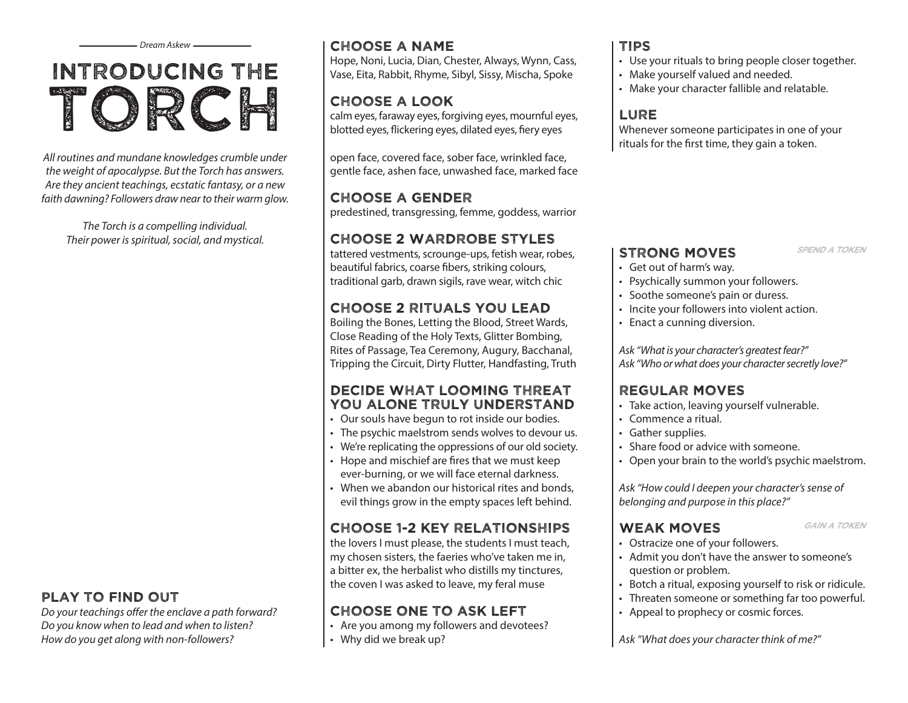# Introducing the Torch

*All routines and mundane knowledges crumble under the weight of apocalypse. But the Torch has answers. Are they ancient teachings, ecstatic fantasy, or a new faith dawning? Followers draw near to their warm glow.*

*The Torch is a compelling individual. Their power is spiritual, social, and mystical.*

### play to find out

*Do your teachings offer the enclave a path forward? Do you know when to lead and when to listen? How do you get along with non-followers?*

### *Dream Askew* Tips Choose a name

Hope, Noni, Lucia, Dian, Chester, Always, Wynn, Cass, Vase, Eita, Rabbit, Rhyme, Sibyl, Sissy, Mischa, Spoke

# Choose a look

calm eyes, faraway eyes, forgiving eyes, mournful eyes, blotted eyes, flickering eyes, dilated eyes, fiery eyes

open face, covered face, sober face, wrinkled face, gentle face, ashen face, unwashed face, marked face

### Choose a gender

predestined, transgressing, femme, goddess, warrior

# Choose 2 Wardrobe Styles

tattered vestments, scrounge-ups, fetish wear, robes, beautiful fabrics, coarse fibers, striking colours, traditional garb, drawn sigils, rave wear, witch chic

# Choose 2 Rituals You Lead

Boiling the Bones, Letting the Blood, Street Wards, Close Reading of the Holy Texts, Glitter Bombing, Rites of Passage, Tea Ceremony, Augury, Bacchanal, Tripping the Circuit, Dirty Flutter, Handfasting, Truth

### Decide What Looming Threat YOU ALONE TRULY UNDERSTAND

- Our souls have begun to rot inside our bodies.
- The psychic maelstrom sends wolves to devour us.
- We're replicating the oppressions of our old society.
- Hope and mischief are fires that we must keep ever-burning, or we will face eternal darkness.
- When we abandon our historical rites and bonds. evil things grow in the empty spaces left behind.

# Choose 1-2 key relationships

the lovers I must please, the students I must teach, my chosen sisters, the faeries who've taken me in, a bitter ex, the herbalist who distills my tinctures, the coven I was asked to leave, my feral muse

# Choose one to ask left

- Are you among my followers and devotees?
- Why did we break up?

- Use your rituals to bring people closer together.
- • Make yourself valued and needed.
- Make your character fallible and relatable.

### **LURE**

Whenever someone participates in one of your rituals for the first time, they gain a token.

### STRONG MOVES SPEND A TOKEN

- • Get out of harm's way.
- Psychically summon your followers.
- • Soothe someone's pain or duress.
- Incite your followers into violent action.
- • Enact a cunning diversion.

*Ask "What is your character's greatest fear?" Ask "Who or what does your character secretly love?"*

# Regular Moves

- Take action, leaving yourself vulnerable.
- • Commence a ritual.
- • Gather supplies.
- Share food or advice with someone.
- Open your brain to the world's psychic maelstrom.

*Ask "How could I deepen your character's sense of belonging and purpose in this place?"*

### WEAK MOVES GAIN A TOKEN

- 
- Ostracize one of your followers.
- • Admit you don't have the answer to someone's question or problem.
- Botch a ritual, exposing yourself to risk or ridicule.
- Threaten someone or something far too powerful.
- Appeal to prophecy or cosmic forces.

*Ask "What does your character think of me?"*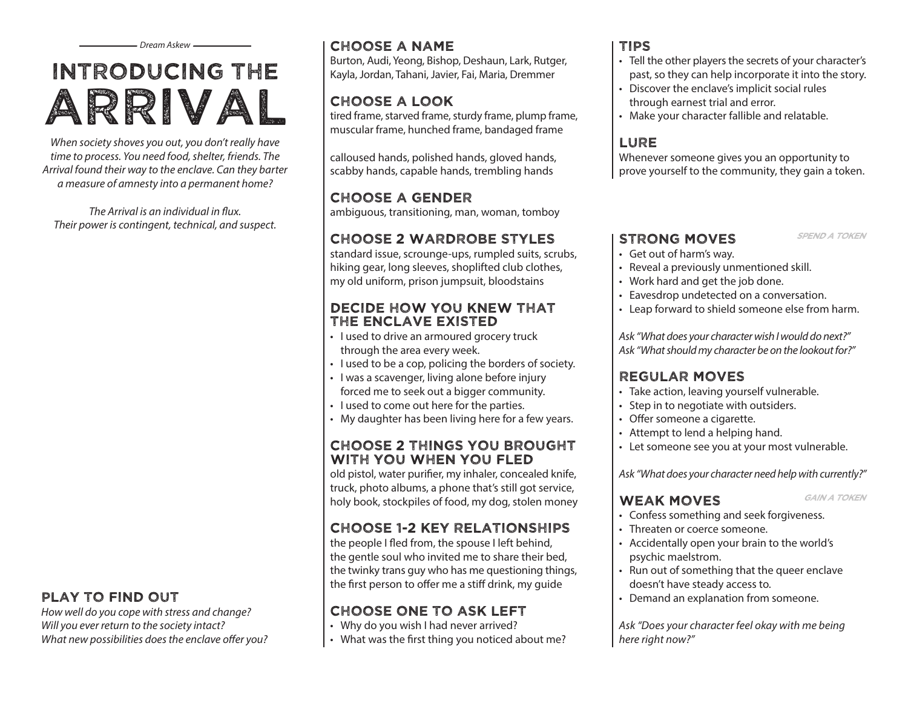# Introducing the Arrival

*When society shoves you out, you don't really have time to process. You need food, shelter, friends. The Arrival found their way to the enclave. Can they barter a measure of amnesty into a permanent home?*

*The Arrival is an individual in flux. Their power is contingent, technical, and suspect.*

### play to find out

*How well do you cope with stress and change? Will you ever return to the society intact? What new possibilities does the enclave offer you?*

### Choose a name

Burton, Audi, Yeong, Bishop, Deshaun, Lark, Rutger, Kayla, Jordan, Tahani, Javier, Fai, Maria, Dremmer

# Choose a look

tired frame, starved frame, sturdy frame, plump frame, muscular frame, hunched frame, bandaged frame

calloused hands, polished hands, gloved hands, scabby hands, capable hands, trembling hands

# Choose a gender

ambiguous, transitioning, man, woman, tomboy

# Choose 2 Wardrobe Styles

standard issue, scrounge-ups, rumpled suits, scrubs, hiking gear, long sleeves, shoplifted club clothes, my old uniform, prison jumpsuit, bloodstains

### Decide how you knew that the enclave existed

- I used to drive an armoured grocery truck through the area every week.
- I used to be a cop, policing the borders of society.
- I was a scavenger, living alone before injury forced me to seek out a bigger community.
- I used to come out here for the parties.
- My daughter has been living here for a few years.

### Choose 2 things you brought with you when you fled

old pistol, water purifier, my inhaler, concealed knife, truck, photo albums, a phone that's still got service, holy book, stockpiles of food, my dog, stolen money

# Choose 1-2 key relationships

the people I fled from, the spouse I left behind, the gentle soul who invited me to share their bed, the twinky trans guy who has me questioning things, the first person to offer me a stiff drink, my guide

# Choose one to ask left

- Why do you wish I had never arrived?
- What was the first thing you noticed about me?

### Tips

- • Tell the other players the secrets of your character's past, so they can help incorporate it into the story.
- Discover the enclave's implicit social rules through earnest trial and error.
- Make your character fallible and relatable.

# **LURE**

Whenever someone gives you an opportunity to prove yourself to the community, they gain a token.

### STRONG MOVES SPEND A TOKEN

- • Get out of harm's way.
- • Reveal a previously unmentioned skill.
- • Work hard and get the job done.
- Eavesdrop undetected on a conversation.
- • Leap forward to shield someone else from harm.

*Ask "What does your character wish I would do next?" Ask "What should my character be on the lookout for?"*

### Regular Moves

- Take action, leaving yourself vulnerable.
- Step in to negotiate with outsiders.
- Offer someone a cigarette.
- Attempt to lend a helping hand.
- Let someone see you at your most vulnerable.

*Ask "What does your character need help with currently?"*

### WEAK MOVES GAIN A TOKEN

- 
- • Confess something and seek forgiveness.
- Threaten or coerce someone.
- • Accidentally open your brain to the world's psychic maelstrom.
- • Run out of something that the queer enclave doesn't have steady access to.
- Demand an explanation from someone.

*Ask "Does your character feel okay with me being here right now?"*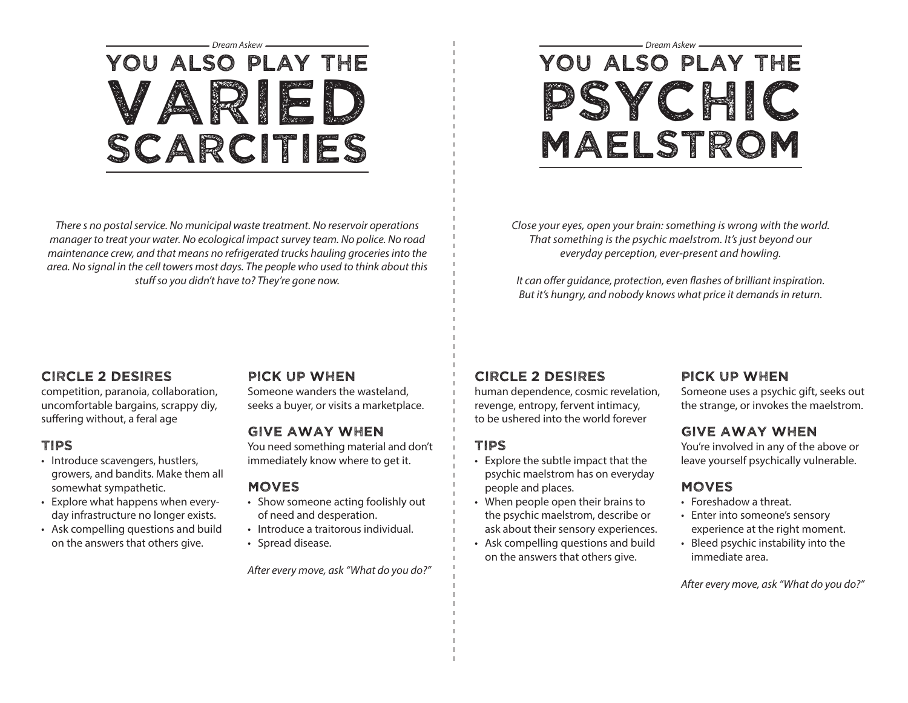# You also play the Varied Scarcities

*There s no postal service. No municipal waste treatment. No reservoir operations manager to treat your water. No ecological impact survey team. No police. No road maintenance crew, and that means no refrigerated trucks hauling groceries into the area. No signal in the cell towers most days. The people who used to think about this stuff so you didn't have to? They're gone now.*

# *Dream Askew Dream Askew* You also play the psychic maelstrom

*Close your eyes, open your brain: something is wrong with the world. That something is the psychic maelstrom. It's just beyond our everyday perception, ever-present and howling.*

*It can offer guidance, protection, even flashes of brilliant inspiration. But it's hungry, and nobody knows what price it demands in return.*

### Circle 2 desires

competition, paranoia, collaboration, uncomfortable bargains, scrappy diy, suffering without, a feral age

### Tips

- Introduce scavengers, hustlers, growers, and bandits. Make them all somewhat sympathetic.
- Explore what happens when everyday infrastructure no longer exists.
- Ask compelling questions and build on the answers that others give.

### Pick up when

Someone wanders the wasteland, seeks a buyer, or visits a marketplace.

### Give away when

You need something material and don't immediately know where to get it.

#### Moves

- Show someone acting foolishly out of need and desperation.
- Introduce a traitorous individual.
- Spread disease.

*After every move, ask "What do you do?"*

### Circle 2 desires

human dependence, cosmic revelation, revenge, entropy, fervent intimacy, to be ushered into the world forever

### tips

- • Explore the subtle impact that the psychic maelstrom has on everyday people and places.
- When people open their brains to the psychic maelstrom, describe or ask about their sensory experiences.
- • Ask compelling questions and build on the answers that others give.

### Pick up when

Someone uses a psychic gift, seeks out the strange, or invokes the maelstrom.

### Give away when

You're involved in any of the above or leave yourself psychically vulnerable.

### **MOVES**

- Foreshadow a threat
- Enter into someone's sensory experience at the right moment.
- • Bleed psychic instability into the immediate area.

*After every move, ask "What do you do?"*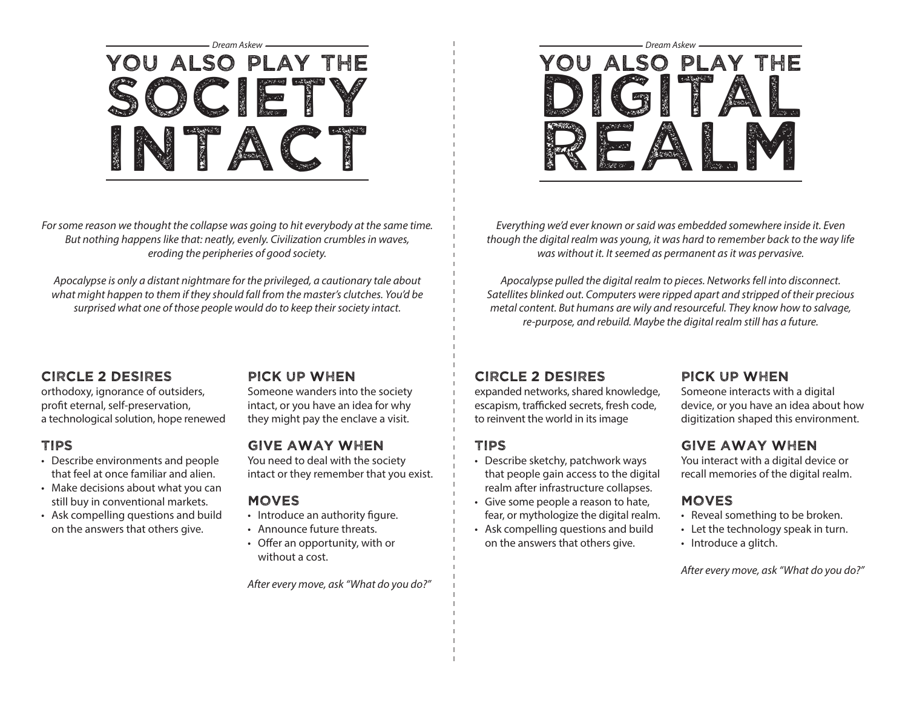

*For some reason we thought the collapse was going to hit everybody at the same time. But nothing happens like that: neatly, evenly. Civilization crumbles in waves, eroding the peripheries of good society.*

*Apocalypse is only a distant nightmare for the privileged, a cautionary tale about what might happen to them if they should fall from the master's clutches. You'd be surprised what one of those people would do to keep their society intact.*

### Circle 2 desires

orthodoxy, ignorance of outsiders, profit eternal, self-preservation, a technological solution, hope renewed

### Tips

- Describe environments and people that feel at once familiar and alien.
- Make decisions about what you can still buy in conventional markets.
- • Ask compelling questions and build on the answers that others give.

### Pick up when

Someone wanders into the society intact, or you have an idea for why they might pay the enclave a visit.

### Give away when

You need to deal with the society intact or they remember that you exist.

### **MOVES**

- Introduce an authority figure.
- • Announce future threats.
- • Offer an opportunity, with or without a cost.

*After every move, ask "What do you do?"*



*Everything we'd ever known or said was embedded somewhere inside it. Even though the digital realm was young, it was hard to remember back to the way life was without it. It seemed as permanent as it was pervasive.*

*Apocalypse pulled the digital realm to pieces. Networks fell into disconnect. Satellites blinked out. Computers were ripped apart and stripped of their precious metal content. But humans are wily and resourceful. They know how to salvage, re-purpose, and rebuild. Maybe the digital realm still has a future.*

### Circle 2 desires

expanded networks, shared knowledge, escapism, trafficked secrets, fresh code, to reinvent the world in its image

### Tips

- Describe sketchy, patchwork ways that people gain access to the digital realm after infrastructure collapses.
- • Give some people a reason to hate, fear, or mythologize the digital realm.
- • Ask compelling questions and build on the answers that others give.

### Pick up when

Someone interacts with a digital device, or you have an idea about how digitization shaped this environment.

### Give away when

You interact with a digital device or recall memories of the digital realm.

### **MOVES**

- Reveal something to be broken.
- Let the technology speak in turn.
- Introduce a glitch.

*After every move, ask "What do you do?"*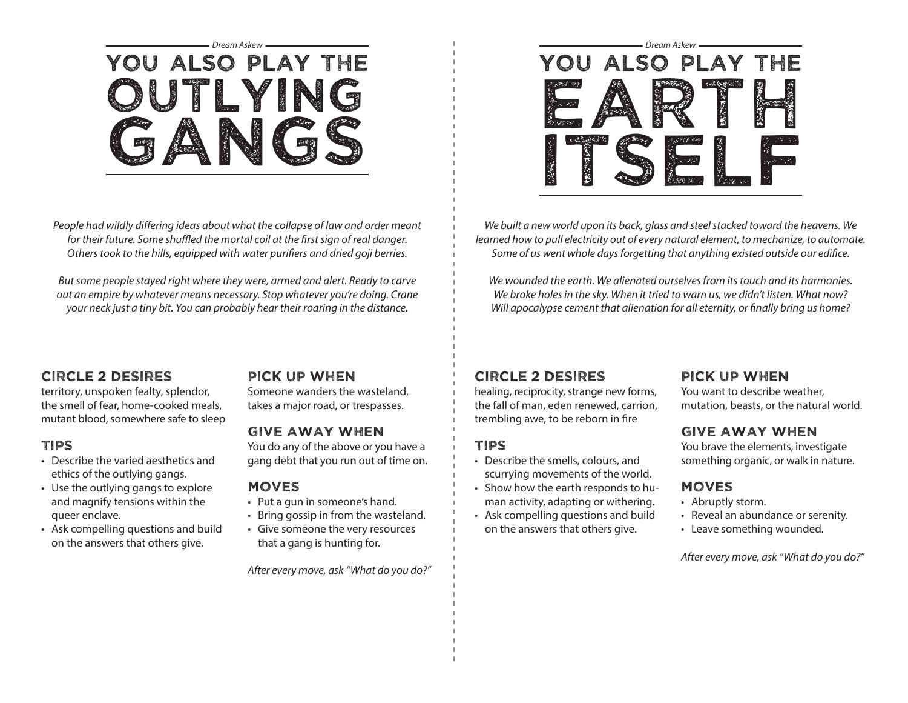

*People had wildly differing ideas about what the collapse of law and order meant for their future. Some shuffled the mortal coil at the first sign of real danger. Others took to the hills, equipped with water purifiers and dried goji berries.*

*But some people stayed right where they were, armed and alert. Ready to carve out an empire by whatever means necessary. Stop whatever you're doing. Crane your neck just a tiny bit. You can probably hear their roaring in the distance.*



*We built a new world upon its back, glass and steel stacked toward the heavens. We learned how to pull electricity out of every natural element, to mechanize, to automate. Some of us went whole days forgetting that anything existed outside our edifice.*

*We wounded the earth. We alienated ourselves from its touch and its harmonies. We broke holes in the sky. When it tried to warn us, we didn't listen. What now? Will apocalypse cement that alienation for all eternity, or finally bring us home?*

### Circle 2 desires

territory, unspoken fealty, splendor, the smell of fear, home-cooked meals, mutant blood, somewhere safe to sleep

### Tips

- Describe the varied aesthetics and ethics of the outlying gangs.
- Use the outlying gangs to explore and magnify tensions within the queer enclave.
- • Ask compelling questions and build on the answers that others give.

### Pick up when

Someone wanders the wasteland, takes a major road, or trespasses.

### Give away when

You do any of the above or you have a gang debt that you run out of time on.

#### Moves

- • Put a gun in someone's hand.
- • Bring gossip in from the wasteland.
- • Give someone the very resources that a gang is hunting for.

*After every move, ask "What do you do?"*

### Circle 2 desires

healing, reciprocity, strange new forms, the fall of man, eden renewed, carrion, trembling awe, to be reborn in fire

### Tips

- Describe the smells, colours, and scurrying movements of the world.
- Show how the earth responds to human activity, adapting or withering.
- • Ask compelling questions and build on the answers that others give.

### Pick up when

You want to describe weather, mutation, beasts, or the natural world.

### Give away when

You brave the elements, investigate something organic, or walk in nature.

### Moves

- Abruptly storm.
- Reveal an abundance or serenity.
- • Leave something wounded.

*After every move, ask "What do you do?"*